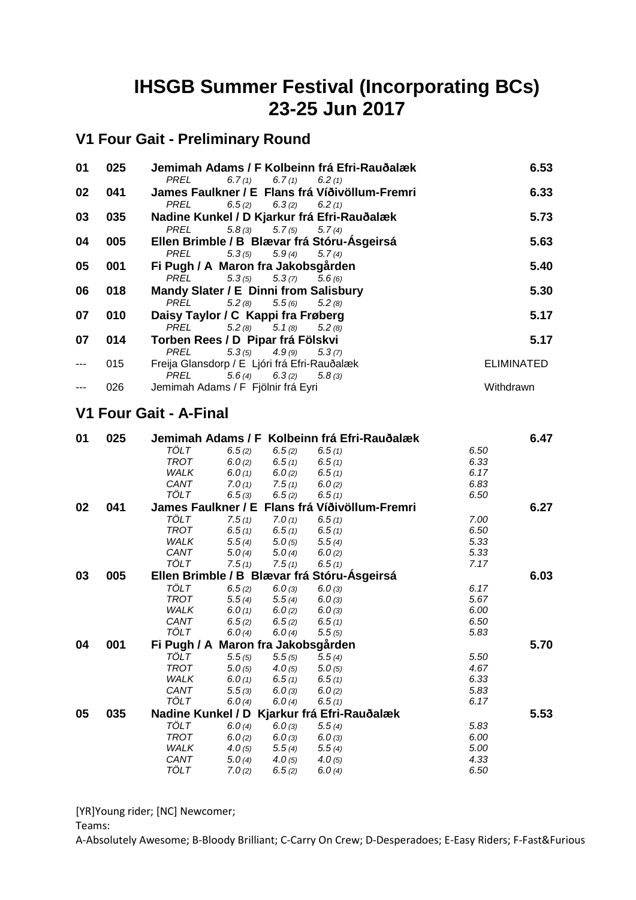# **IHSGB Summer Festival (Incorporating BCs) 23-25 Jun 2017**

## **V1 Four Gait - Preliminary Round**

| 01 | 025 | Jemimah Adams / F Kolbeinn frá Efri-Rauðalæk   | 6.53              |
|----|-----|------------------------------------------------|-------------------|
|    |     | $6.7(1)$ $6.7(1)$ $6.2(1)$<br>PREL             |                   |
| 02 | 041 | James Faulkner / E Flans frá Víðivöllum-Fremri | 6.33              |
|    |     | PREL<br>$6.5(2)$ $6.3(2)$ $6.2(1)$             |                   |
| 03 | 035 | Nadine Kunkel / D Kjarkur frá Efri-Rauðalæk    | 5.73              |
|    |     | $5.8(3)$ $5.7(5)$<br>5.7(4)<br>PREL            |                   |
| 04 | 005 | Ellen Brimble / B Blævar frá Stóru-Ásgeirsá    | 5.63              |
|    |     | $5.3(5)$ $5.9(4)$ $5.7(4)$<br>PREL             |                   |
| 05 | 001 | Fi Pugh / A Maron fra Jakobsgården             | 5.40              |
|    |     | PREL $5.3(5)$ $5.3(7)$ $5.6(6)$                |                   |
| 06 | 018 | Mandy Slater / E Dinni from Salisbury          | 5.30              |
|    |     | PREL $5.2(8)$ $5.5(6)$ $5.2(8)$                |                   |
| 07 | 010 | Daisy Taylor / C Kappi fra Frøberg             | 5.17              |
|    |     | PREL $5.2(8)$ $5.1(8)$ $5.2(8)$                |                   |
| 07 | 014 | Torben Rees / D Pipar frá Fölskvi              | 5.17              |
|    |     | $5.3(5)$ $4.9(9)$ $5.3(7)$<br>PREL             |                   |
|    | 015 | Freija Glansdorp / E Ljóri frá Efri-Rauðalæk   | <b>ELIMINATED</b> |
|    |     | PREL<br>$5.6(4)$ $6.3(2)$ $5.8(3)$             |                   |
|    | 026 | Jemimah Adams / F Fjölnir frá Eyri             | Withdrawn         |

#### **V1 Four Gait - A-Final**

| 01 | 025 |                                             |                        |        | Jemimah Adams / F Kolbeinn frá Efri-Rauðalæk |      | 6.47 |
|----|-----|---------------------------------------------|------------------------|--------|----------------------------------------------|------|------|
|    |     | TÖLT<br>6.5(2)                              |                        | 6.5(2) | 6.5(1)                                       | 6.50 |      |
|    |     | <b>TROT</b><br>6.0(2)                       |                        | 6.5(1) | 6.5(1)                                       | 6.33 |      |
|    |     | WALK<br>6.0(1)                              |                        | 6.0(2) | 6.5(1)                                       | 6.17 |      |
|    |     | CANT                                        | 7.0(1)                 | 7.5(1) | 6.0(2)                                       | 6.83 |      |
|    |     | <b>TÖLT</b>                                 | 6.5(3)                 | 6.5(2) | 6.5(1)                                       | 6.50 |      |
| 02 | 041 | James Faulkner / E                          |                        |        | Flans frá Víðivöllum-Fremri                  |      | 6.27 |
|    |     | <b>TÖLT</b>                                 | 7.5(1)                 | 7.0(1) | 6.5(1)                                       | 7.00 |      |
|    |     | <b>TROT</b><br>6.5(1)                       |                        | 6.5(1) | 6.5(1)                                       | 6.50 |      |
|    |     | <b>WALK</b><br>5.5(4)                       |                        | 5.0(5) | 5.5(4)                                       | 5.33 |      |
|    |     | CANT<br>5.0(4)                              |                        | 5.0(4) | 6.0(2)                                       | 5.33 |      |
|    |     | TÖLT                                        | 7.5(1)                 | 7.5(1) | 6.5(1)                                       | 7.17 |      |
| 03 | 005 | Ellen Brimble / B Blævar frá Stóru-Ásgeirsá |                        |        |                                              |      | 6.03 |
|    |     | <b>TÖLT</b><br>6.5(2)                       |                        | 6.0(3) | 6.0(3)                                       | 6.17 |      |
|    |     | <b>TROT</b><br>5.5(4)                       |                        | 5.5(4) | 6.0(3)                                       | 5.67 |      |
|    |     | WALK<br>6.0(1)                              |                        | 6.0(2) | 6.0(3)                                       | 6.00 |      |
|    |     | CANT<br>6.5(2)                              |                        | 6.5(2) | 6.5(1)                                       | 6.50 |      |
|    |     | TÖLT                                        | 6.0(4)                 | 6.0(4) | 5.5(5)                                       | 5.83 |      |
| 04 | 001 | Fi Pugh / A                                 | Maron fra Jakobsgården |        |                                              |      | 5.70 |
|    |     | TÖLT<br>5.5(5)                              |                        | 5.5(5) | 5.5(4)                                       | 5.50 |      |
|    |     | <b>TROT</b><br>5.0(5)                       |                        | 4.0(5) | 5.0(5)                                       | 4.67 |      |
|    |     | <b>WALK</b><br>6.0(1)                       |                        | 6.5(1) | 6.5(1)                                       | 6.33 |      |
|    |     | CANT<br>5.5(3)                              |                        | 6.0(3) | 6.0(2)                                       | 5.83 |      |
|    |     | TÖLT                                        | 6.0(4)                 | 6.0(4) | 6.5(1)                                       | 6.17 |      |
| 05 | 035 | Nadine Kunkel / D Kjarkur frá Efri-Rauðalæk |                        |        |                                              |      | 5.53 |
|    |     | TÖLT<br>6.0(4)                              |                        | 6.0(3) | 5.5(4)                                       | 5.83 |      |
|    |     | <b>TROT</b><br>6.0(2)                       |                        | 6.0(3) | 6.0(3)                                       | 6.00 |      |
|    |     | WALK<br>4.0(5)                              |                        | 5.5(4) | 5.5(4)                                       | 5.00 |      |
|    |     | CANT<br>5.0(4)                              |                        | 4.0(5) | 4.0(5)                                       | 4.33 |      |
|    |     | TÖLT<br>7.0(2)                              |                        | 6.5(2) | 6.0(4)                                       | 6.50 |      |

[YR]Young rider; [NC] Newcomer;

Teams: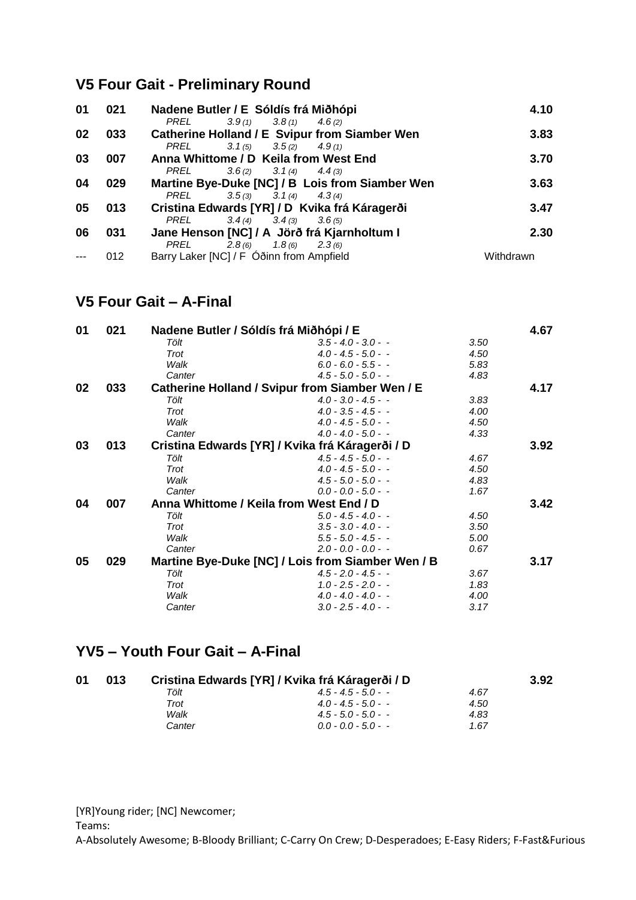### **V5 Four Gait - Preliminary Round**

| 01 | 021 | Nadene Butler / E Sóldís frá Miðhópi                                                  | 4.10      |
|----|-----|---------------------------------------------------------------------------------------|-----------|
| 02 | 033 | PREL<br>$3.9(1)$ $3.8(1)$<br>4.6(2)<br>Catherine Holland / E Svipur from Siamber Wen  | 3.83      |
| 03 | 007 | $3.1(5)$ $3.5(2)$<br>PREL<br>4.9(1)<br>Anna Whittome / D Keila from West End          | 3.70      |
| 04 | 029 | PREL<br>$3.6(2)$ $3.1(4)$ $4.4(3)$<br>Martine Bye-Duke [NC] / B Lois from Siamber Wen | 3.63      |
| 05 | 013 | $3.5(3)$ $3.1(4)$ $4.3(4)$<br>PREL<br>Cristina Edwards [YR] / D Kvika frá Káragerði   | 3.47      |
| 06 | 031 | $3.4(4)$ $3.4(3)$<br>PREL<br>3.6(5)<br>Jane Henson [NC] / A Jörð frá Kjarnholtum I    | 2.30      |
|    | 012 | PREL<br>$2.8(6)$ $1.8(6)$<br>2.3(6)<br>Barry Laker [NC] / F Óðinn from Ampfield       | Withdrawn |

### **V5 Four Gait – A-Final**

| 01 | 021 | Nadene Butler / Sóldís frá Miðhópi / E  |                                                   |      | 4.67 |  |
|----|-----|-----------------------------------------|---------------------------------------------------|------|------|--|
|    |     | Tölt                                    | $3.5 - 4.0 - 3.0 -$                               | 3.50 |      |  |
|    |     | Trot                                    | $4.0 - 4.5 - 5.0 -$                               | 4.50 |      |  |
|    |     | Walk                                    | $6.0 - 6.0 - 5.5 - -$                             | 5.83 |      |  |
|    |     | Canter                                  | $4.5 - 5.0 - 5.0 -$                               | 4.83 |      |  |
| 02 | 033 |                                         | Catherine Holland / Svipur from Siamber Wen / E   |      | 4.17 |  |
|    |     | Tölt                                    | $4.0 - 3.0 - 4.5 -$                               | 3.83 |      |  |
|    |     | Trot                                    | $4.0 - 3.5 - 4.5 -$                               | 4.00 |      |  |
|    |     | Walk                                    | $4.0 - 4.5 - 5.0 -$                               | 4.50 |      |  |
|    |     | Canter                                  | $4.0 - 4.0 - 5.0 -$                               | 4.33 |      |  |
| 03 | 013 |                                         | Cristina Edwards [YR] / Kvika frá Káragerði / D   |      | 3.92 |  |
|    |     | Tölt                                    | $4.5 - 4.5 - 5.0 -$                               | 4.67 |      |  |
|    |     | Trot                                    | $4.0 - 4.5 - 5.0 -$                               | 4.50 |      |  |
|    |     | Walk                                    | $4.5 - 5.0 - 5.0 -$                               | 4.83 |      |  |
|    |     | Canter                                  | $0.0 - 0.0 - 5.0 -$                               | 1.67 |      |  |
| 04 | 007 | Anna Whittome / Keila from West End / D |                                                   |      |      |  |
|    |     | Tölt                                    | $5.0 - 4.5 - 4.0 -$                               | 4.50 |      |  |
|    |     | Trot                                    | $3.5 - 3.0 - 4.0 -$                               | 3.50 |      |  |
|    |     | Walk                                    | $5.5 - 5.0 - 4.5 -$                               | 5.00 |      |  |
|    |     | Canter                                  | $2.0 - 0.0 - 0.0 -$                               | 0.67 |      |  |
| 05 | 029 |                                         | Martine Bye-Duke [NC] / Lois from Siamber Wen / B |      | 3.17 |  |
|    |     | Tölt                                    | $4.5 - 2.0 - 4.5 -$                               | 3.67 |      |  |
|    |     | Trot                                    | $1.0 - 2.5 - 2.0 -$                               | 1.83 |      |  |
|    |     | Walk                                    | $4.0 - 4.0 - 4.0 -$                               | 4.00 |      |  |
|    |     | Canter                                  | $3.0 - 2.5 - 4.0 -$                               | 3.17 |      |  |

#### **YV5 – Youth Four Gait – A-Final**

| 01 | 013 | Cristina Edwards [YR] / Kvika frá Káragerði / D |                       |      |  |  |  |
|----|-----|-------------------------------------------------|-----------------------|------|--|--|--|
|    |     | Tölt                                            | $4.5 - 4.5 - 5.0 - -$ | 4.67 |  |  |  |
|    |     | Trot                                            | $4.0 - 4.5 - 5.0 -$   | 4.50 |  |  |  |
|    |     | Walk                                            | $4.5 - 5.0 - 5.0 - -$ | 4.83 |  |  |  |
|    |     | Canter                                          | $0.0 - 0.0 - 5.0 - -$ | 1.67 |  |  |  |

[YR]Young rider; [NC] Newcomer;

Teams: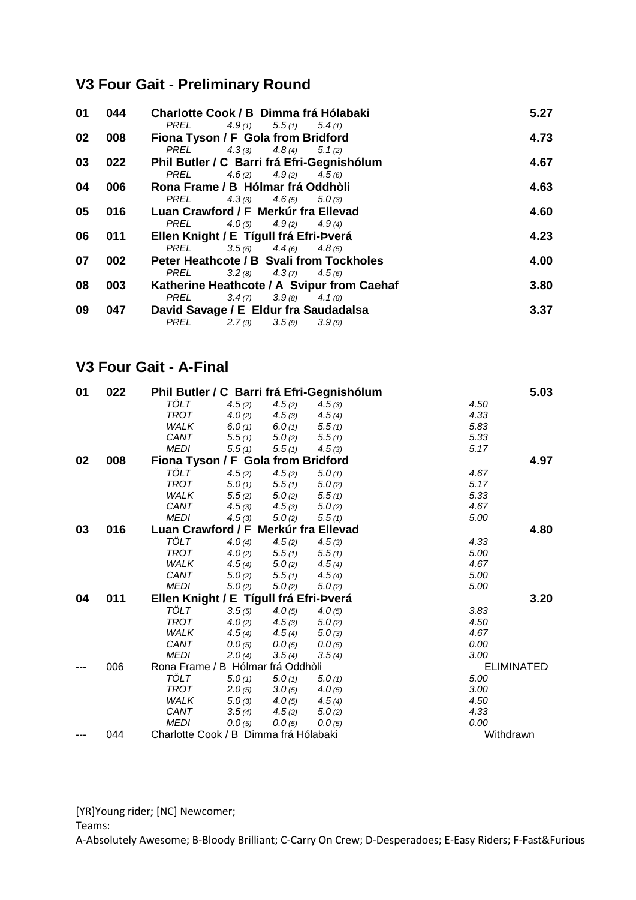## **V3 Four Gait - Preliminary Round**

| 01 | 044 | Charlotte Cook / B Dimma frá Hólabaki<br>$4.9(1)$ $5.5(1)$ $5.4(1)$<br>PREL      | 5.27 |
|----|-----|----------------------------------------------------------------------------------|------|
| 02 | 008 | Fiona Tyson / F Gola from Bridford<br>PREL $4.3(3)$ $4.8(4)$ $5.1(2)$            | 4.73 |
| 03 | 022 | Phil Butler / C Barri frá Efri-Gegnishólum                                       | 4.67 |
| 04 | 006 | $4.6(2)$ $4.9(2)$ $4.5(6)$<br>PREL<br>Rona Frame / B Hólmar frá Oddhòli          | 4.63 |
| 05 | 016 | $4.3(3)$ $4.6(5)$ $5.0(3)$<br>PREL<br>Luan Crawford / F Merkúr fra Ellevad       | 4.60 |
| 06 | 011 | PREL $4.0(5)$ $4.9(2)$ $4.9(4)$<br>Ellen Knight / E Tígull frá Efri-Þverá        | 4.23 |
| 07 | 002 | $3.5(6)$ $4.4(6)$ $4.8(5)$<br>PREL<br>Peter Heathcote / B Svali from Tockholes   | 4.00 |
| 08 | 003 | PREL<br>$3.2(8)$ $4.3(7)$ $4.5(6)$<br>Katherine Heathcote / A Svipur from Caehaf | 3.80 |
|    |     | PREL<br>$3.4(7)$ $3.9(8)$ $4.1(8)$                                               |      |
| 09 | 047 | David Savage / E Eldur fra Saudadalsa<br>$2.7(9)$ $3.5(9)$<br>PREL<br>3.9(9)     | 3.37 |

#### **V3 Four Gait - A-Final**

| 01 | 022 |                                        |           |        | Phil Butler / C Barri frá Efri-Gegnishólum |           | 5.03              |
|----|-----|----------------------------------------|-----------|--------|--------------------------------------------|-----------|-------------------|
|    |     | TÖLT                                   | 4.5(2)    | 4.5(2) | 4.5(3)                                     | 4.50      |                   |
|    |     | <b>TROT</b>                            | 4.0(2)    | 4.5(3) | 4.5(4)                                     | 4.33      |                   |
|    |     | <b>WALK</b>                            | 6.0(1)    | 6.0(1) | 5.5(1)                                     | 5.83      |                   |
|    |     | CANT                                   | 5.5(1)    | 5.0(2) | 5.5(1)                                     | 5.33      |                   |
|    |     | <b>MEDI</b>                            | 5.5(1)    | 5.5(1) | 4.5(3)                                     | 5.17      |                   |
| 02 | 008 | Fiona Tyson / F Gola from Bridford     |           |        |                                            |           | 4.97              |
|    |     | TÖLT                                   | 4.5(2)    | 4.5(2) | 5.0(1)                                     | 4.67      |                   |
|    |     | <b>TROT</b>                            | 5.0(1)    | 5.5(1) | 5.0(2)                                     | 5.17      |                   |
|    |     | WALK                                   | 5.5(2)    | 5.0(2) | 5.5(1)                                     | 5.33      |                   |
|    |     | CANT                                   | 4.5(3)    | 4.5(3) | 5.0(2)                                     | 4.67      |                   |
|    |     | <b>MEDI</b>                            | 4.5(3)    | 5.0(2) | 5.5(1)                                     | 5.00      |                   |
| 03 | 016 | Luan Crawford / F Merkúr fra Ellevad   |           |        |                                            |           | 4.80              |
|    |     | TÖLT                                   | 4.0(4)    | 4.5(2) | 4.5(3)                                     | 4.33      |                   |
|    |     | <b>TROT</b>                            | 4.0(2)    | 5.5(1) | 5.5(1)                                     | 5.00      |                   |
|    |     | <b>WALK</b>                            | 4.5(4)    | 5.0(2) | 4.5(4)                                     | 4.67      |                   |
|    |     | CANT                                   | 5.0(2)    | 5.5(1) | 4.5(4)                                     | 5.00      |                   |
|    |     | <b>MEDI</b>                            | 5.0(2)    | 5.0(2) | 5.0(2)                                     | 5.00      |                   |
| 04 | 011 | Ellen Knight / E Tígull frá Efri-Þverá |           |        |                                            |           | 3.20              |
|    |     | <b>TÖLT</b>                            | 3.5(5)    | 4.0(5) | 4.0(5)                                     | 3.83      |                   |
|    |     | <b>TROT</b>                            | 4.0 $(2)$ | 4.5(3) | 5.0(2)                                     | 4.50      |                   |
|    |     | <b>WALK</b>                            | 4.5(4)    | 4.5(4) | 5.0(3)                                     | 4.67      |                   |
|    |     | CANT                                   | 0.0(5)    | 0.0(5) | 0.0(5)                                     | 0.00      |                   |
|    |     | <b>MEDI</b>                            | 2.0(4)    | 3.5(4) | 3.5(4)                                     | 3.00      |                   |
|    | 006 | Rona Frame / B Hólmar frá Oddhòli      |           |        |                                            |           | <b>ELIMINATED</b> |
|    |     | TÖLT                                   | 5.0(1)    | 5.0(1) | 5.0(1)                                     | 5.00      |                   |
|    |     | <b>TROT</b>                            | 2.0(5)    | 3.0(5) | 4.0(5)                                     | 3.00      |                   |
|    |     | WALK                                   | 5.0(3)    | 4.0(5) | 4.5(4)                                     | 4.50      |                   |
|    |     | CANT                                   | 3.5(4)    | 4.5(3) | 5.0(2)                                     | 4.33      |                   |
|    |     | <b>MEDI</b>                            | 0.0(5)    | 0.0(5) | 0.0(5)                                     | 0.00      |                   |
|    | 044 | Charlotte Cook / B Dimma frá Hólabaki  |           |        |                                            | Withdrawn |                   |

[YR]Young rider; [NC] Newcomer;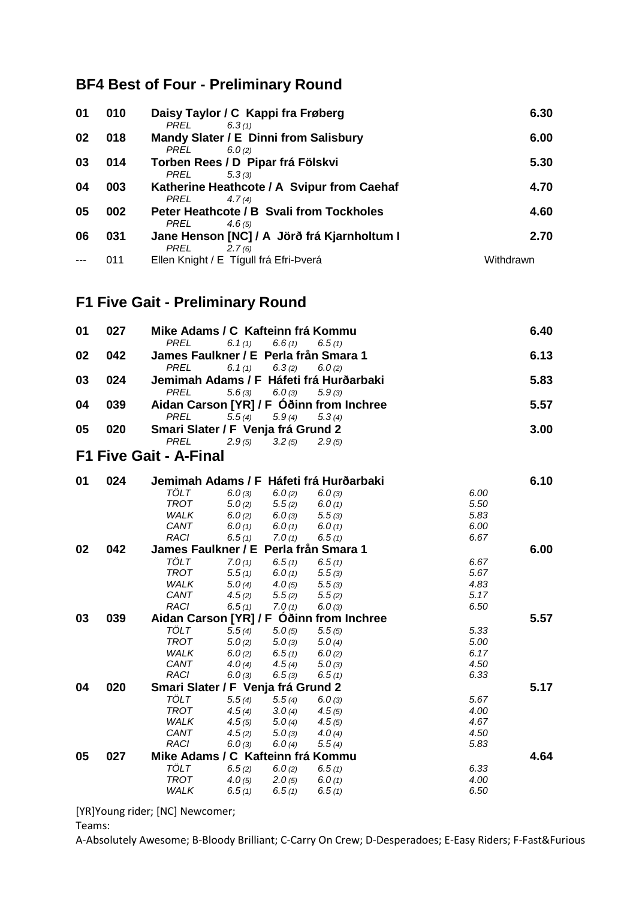## **BF4 Best of Four - Preliminary Round**

| 01 | 010 | Daisy Taylor / C Kappi fra Frøberg<br>PREL<br>6.3(1)          | 6.30      |
|----|-----|---------------------------------------------------------------|-----------|
| 02 | 018 | Mandy Slater / E Dinni from Salisbury<br>PREL<br>6.0(2)       | 6.00      |
| 03 | 014 | Torben Rees / D Pipar frá Fölskvi                             | 5.30      |
| 04 | 003 | PREL<br>5.3(3)<br>Katherine Heathcote / A Svipur from Caehaf  | 4.70      |
| 05 | 002 | PREL<br>4.7(4)<br>Peter Heathcote / B Svali from Tockholes    | 4.60      |
| 06 | 031 | PREL<br>4.6(5)<br>Jane Henson [NC] / A Jörð frá Kjarnholtum I | 2.70      |
|    |     | PREL<br>2.7(6)                                                |           |
|    | 011 | Ellen Knight / E Tígull frá Efri-Þverá                        | Withdrawn |

# **F1 Five Gait - Preliminary Round**

| 01 | 027 | Mike Adams / C Kafteinn frá Kommu     |           |        |                                          |      | 6.40 |
|----|-----|---------------------------------------|-----------|--------|------------------------------------------|------|------|
|    |     | <b>PREL</b>                           | 6.1(1)    | 6.6(1) | 6.5(1)                                   |      |      |
| 02 | 042 | James Faulkner / E Perla från Smara 1 |           |        |                                          |      | 6.13 |
|    |     | <b>PREL</b>                           | 6.1 $(1)$ | 6.3(2) | 6.0(2)                                   |      |      |
| 03 | 024 |                                       |           |        | Jemimah Adams / F Háfeti frá Hurðarbaki  |      | 5.83 |
|    |     | <b>PREL</b>                           | 5.6(3)    | 6.0(3) | 5.9(3)                                   |      |      |
| 04 | 039 |                                       |           |        | Aidan Carson [YR] / F Óðinn from Inchree |      | 5.57 |
|    |     | <b>PREL</b>                           | 5.5(4)    | 5.9(4) | 5.3(4)                                   |      |      |
| 05 | 020 | Smari Slater / F Venja frá Grund 2    |           |        |                                          |      | 3.00 |
|    |     | <b>PREL</b>                           | 2.9(5)    | 3.2(5) | 2.9(5)                                   |      |      |
|    |     | <b>F1 Five Gait - A-Final</b>         |           |        |                                          |      |      |
| 01 | 024 |                                       |           |        | Jemimah Adams / F Háfeti frá Hurðarbaki  |      | 6.10 |
|    |     | <b>TÖLT</b>                           | 6.0(3)    | 6.0(2) | 6.0(3)                                   | 6.00 |      |
|    |     | <b>TROT</b>                           | 5.0(2)    | 5.5(2) | 6.0(1)                                   | 5.50 |      |
|    |     | WALK                                  | 6.0(2)    | 6.0(3) | 5.5(3)                                   | 5.83 |      |
|    |     | CANT                                  | 6.0(1)    | 6.0(1) | 6.0(1)                                   | 6.00 |      |
|    |     | <b>RACI</b>                           | 6.5(1)    | 7.0(1) | 6.5(1)                                   | 6.67 |      |
| 02 | 042 | James Faulkner / E Perla från Smara 1 |           |        |                                          |      | 6.00 |
|    |     | TÖLT                                  | 7.0(1)    | 6.5(1) | 6.5(1)                                   | 6.67 |      |
|    |     | <b>TROT</b>                           | 5.5(1)    | 6.0(1) | 5.5(3)                                   | 5.67 |      |
|    |     | WALK                                  | 5.0(4)    | 4.0(5) | 5.5(3)                                   | 4.83 |      |
|    |     | CANT                                  | 4.5(2)    | 5.5(2) | 5.5(2)                                   | 5.17 |      |
|    |     | RACI                                  | 6.5(1)    | 7.0(1) | 6.0(3)                                   | 6.50 |      |
| 03 | 039 |                                       |           |        | Aidan Carson [YR] / F Oðinn from Inchree |      | 5.57 |
|    |     | <b>TÖLT</b>                           | 5.5(4)    | 5.0(5) | 5.5(5)                                   | 5.33 |      |
|    |     | <b>TROT</b>                           | 5.0(2)    | 5.0(3) | 5.0(4)                                   | 5.00 |      |
|    |     | WALK                                  | 6.0(2)    | 6.5(1) | 6.0(2)                                   | 6.17 |      |
|    |     | CANT                                  | 4.0 $(4)$ | 4.5(4) | 5.0(3)                                   | 4.50 |      |
|    |     | RACI                                  | 6.0(3)    | 6.5(3) | 6.5(1)                                   | 6.33 |      |
| 04 | 020 | Smari Slater / F Venja frá Grund 2    |           |        |                                          |      | 5.17 |
|    |     | TÖLT                                  | 5.5(4)    | 5.5(4) | 6.0(3)                                   | 5.67 |      |
|    |     | <b>TROT</b>                           | 4.5(4)    | 3.0(4) | 4.5(5)                                   | 4.00 |      |
|    |     | WALK                                  | 4.5(5)    | 5.0(4) | 4.5(5)                                   | 4.67 |      |
|    |     | CANT                                  | 4.5(2)    | 5.0(3) | 4.0 $(4)$                                | 4.50 |      |
|    |     | <b>RACI</b>                           | 6.0(3)    | 6.0(4) | 5.5(4)                                   | 5.83 |      |
| 05 | 027 | Mike Adams / C Kafteinn frá Kommu     |           |        |                                          |      | 4.64 |
|    |     | TÖLT                                  | 6.5(2)    | 6.0(2) | 6.5(1)                                   | 6.33 |      |
|    |     | <b>TROT</b>                           | 4.0(5)    | 2.0(5) | 6.0(1)                                   | 4.00 |      |
|    |     | WALK                                  | 6.5(1)    | 6.5(1) | 6.5(1)                                   | 6.50 |      |

[YR]Young rider; [NC] Newcomer;

Teams: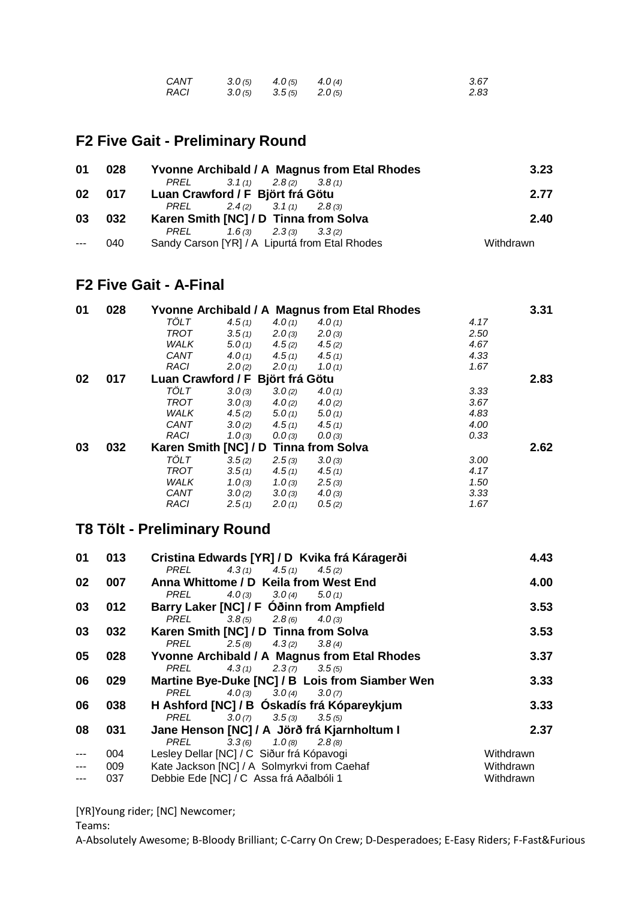| CANT        | $3.0(5)$ $4.0(5)$ $4.0(4)$ | 3.67 |
|-------------|----------------------------|------|
| <b>RACI</b> | $3.0(5)$ $3.5(5)$ $2.0(5)$ | 2.83 |

## **F2 Five Gait - Preliminary Round**

| 01 | 028 | <b>Yvonne Archibald / A Magnus from Etal Rhodes</b> | 3.23      |
|----|-----|-----------------------------------------------------|-----------|
|    |     | PREL $3.1(1)$ $2.8(2)$ $3.8(1)$                     |           |
| 02 |     | 017 Luan Crawford / F Björt frá Götu                | 2.77      |
|    |     | PREL $2.4(2)$ $3.1(1)$ $2.8(3)$                     |           |
| 03 | 032 | Karen Smith [NC] / D Tinna from Solva               | 2.40      |
|    |     | PREL $1.6(3)$ $2.3(3)$ $3.3(2)$                     |           |
|    | 040 | Sandy Carson [YR] / A Lipurtá from Etal Rhodes      | Withdrawn |

#### **F2 Five Gait - A-Final**

| 01 | 028 |                                  |           |           | Yvonne Archibald / A Magnus from Etal Rhodes |      | 3.31 |
|----|-----|----------------------------------|-----------|-----------|----------------------------------------------|------|------|
|    |     | TÖLT                             | 4.5(1)    | 4.0(1)    | 4.0(1)                                       | 4.17 |      |
|    |     | TROT                             | 3.5(1)    | 2.0(3)    | 2.0(3)                                       | 2.50 |      |
|    |     | <b>WALK</b>                      | 5.0(1)    | 4.5(2)    | 4.5(2)                                       | 4.67 |      |
|    |     | CANT                             | 4.0 $(1)$ | 4.5(1)    | 4.5(1)                                       | 4.33 |      |
|    |     | <b>RACI</b>                      | 2.0(2)    | 2.0(1)    | 1.0(1)                                       | 1.67 |      |
| 02 | 017 | Luan Crawford / F Björt frá Götu |           |           |                                              |      | 2.83 |
|    |     | TÖLT                             | 3.0(3)    | 3.0(2)    | 4.0(1)                                       | 3.33 |      |
|    |     | TROT                             | 3.0(3)    | 4.0 $(2)$ | 4.0(2)                                       | 3.67 |      |
|    |     | <b>WALK</b>                      | 4.5(2)    | 5.0(1)    | 5.0(1)                                       | 4.83 |      |
|    |     | CANT                             | 3.0(2)    | 4.5(1)    | 4.5(1)                                       | 4.00 |      |
|    |     | <b>RACI</b>                      | 1.0(3)    | 0.0(3)    | 0.0(3)                                       | 0.33 |      |
| 03 | 032 | Karen Smith [NC] / D             |           |           | <b>Tinna from Solva</b>                      |      | 2.62 |
|    |     | TÖLT                             | 3.5(2)    | 2.5(3)    | 3.0(3)                                       | 3.00 |      |
|    |     | TROT                             | 3.5(1)    | 4.5(1)    | 4.5(1)                                       | 4.17 |      |
|    |     | <b>WALK</b>                      | 1.0(3)    | 1.0(3)    | 2.5(3)                                       | 1.50 |      |
|    |     | CANT                             | 3.0(2)    | 3.0(3)    | 4.0(3)                                       | 3.33 |      |
|    |     | <b>RACI</b>                      | 2.5(1)    | 2.0(1)    | 0.5(2)                                       | 1.67 |      |

## **T8 Tölt - Preliminary Round**

| 01             | 013 | Cristina Edwards [YR] / D Kvika frá Káragerði   | 4.43      |
|----------------|-----|-------------------------------------------------|-----------|
|                |     | $4.3(1)$ $4.5(1)$<br>PREL<br>4.5(2)             |           |
| 02             | 007 | Anna Whittome / D Keila from West End           | 4.00      |
|                |     | 4.0 (3) $3.0(4)$ $5.0(1)$<br>PREL               |           |
| 03             | 012 | Barry Laker [NC] / F Óðinn from Ampfield        | 3.53      |
|                |     | PREL $3.8(5)$ $2.8(6)$ $4.0(3)$                 |           |
| 03             | 032 | Karen Smith [NC] / D Tinna from Solva           | 3.53      |
|                |     | $2.5(8)$ $4.3(2)$ $3.8(4)$<br>PREL              |           |
| 05             | 028 | Yvonne Archibald / A Magnus from Etal Rhodes    | 3.37      |
|                |     | PREL<br>$4.3(1)$ $2.3(7)$ $3.5(5)$              |           |
| 06             | 029 | Martine Bye-Duke [NC] / B Lois from Siamber Wen | 3.33      |
|                |     | PREL $4.0(3)$ $3.0(4)$ $3.0(7)$                 |           |
| 06             | 038 | H Ashford [NC] / B Oskadís frá Kópareykjum      | 3.33      |
|                |     | PREL $3.0(7)$ $3.5(3)$ $3.5(5)$                 |           |
| 08             | 031 | Jane Henson [NC] / A Jörð frá Kjarnholtum I     | 2.37      |
|                |     | $3.3(6)$ $1.0(8)$ $2.8(8)$<br>PREL              |           |
| $---$          | 004 | Lesley Dellar [NC] / C Siður frá Kópavogi       | Withdrawn |
| $---$          | 009 | Kate Jackson [NC] / A Solmyrkvi from Caehaf     | Withdrawn |
| $\overline{a}$ | 037 | Debbie Ede [NC] / C Assa frá Aðalbóli 1         | Withdrawn |

[YR]Young rider; [NC] Newcomer;

Teams: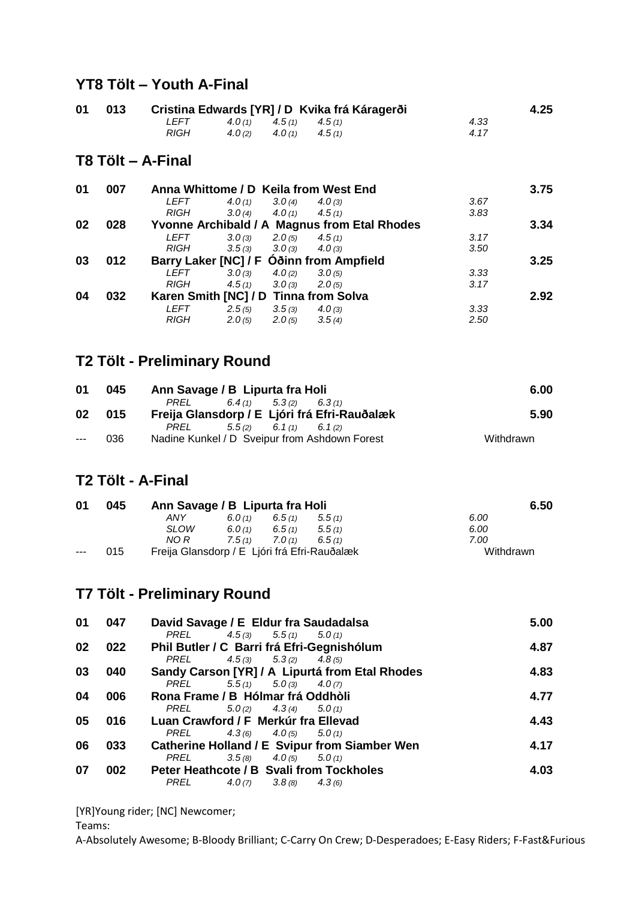### **YT8 Tölt – Youth A-Final**

| 01 013 | Cristina Edwards [YR] / D Kvika frá Káragerði | 4.25                       |  |       |  |
|--------|-----------------------------------------------|----------------------------|--|-------|--|
|        | LEFT                                          | $4.0(1)$ $4.5(1)$ $4.5(1)$ |  | 4.33  |  |
|        | <i>RIGH</i>                                   | $4.0(2)$ $4.0(1)$ $4.5(1)$ |  | 4 1 7 |  |

#### **T8 Tölt – A-Final**

| 01 | 007 |             |        |           | Anna Whittome / D Keila from West End        |      | 3.75 |
|----|-----|-------------|--------|-----------|----------------------------------------------|------|------|
|    |     | <i>LEFT</i> | 4.0(1) | 3.0(4)    | 4.0(3)                                       | 3.67 |      |
|    |     | <b>RIGH</b> | 3.0(4) | 4.0 $(1)$ | 4.5(1)                                       | 3.83 |      |
| 02 | 028 |             |        |           | Yvonne Archibald / A Magnus from Etal Rhodes |      | 3.34 |
|    |     | <i>LEFT</i> | 3.0(3) | 2.0(5)    | 4.5(1)                                       | 3.17 |      |
|    |     | RIGH        | 3.5(3) | 3.0(3)    | 4.0(3)                                       | 3.50 |      |
| 03 | 012 |             |        |           | Barry Laker [NC] / F Óðinn from Ampfield     |      | 3.25 |
|    |     | <i>LEFT</i> | 3.0(3) | 4.0(2)    | 3.0(5)                                       | 3.33 |      |
|    |     | <b>RIGH</b> | 4.5(1) | 3.0(3)    | 2.0(5)                                       | 3.17 |      |
| 04 | 032 |             |        |           | Karen Smith [NC] / D Tinna from Solva        |      | 2.92 |
|    |     | <i>LEFT</i> | 2.5(5) | 3.5(3)    | 4.0(3)                                       | 3.33 |      |
|    |     | <b>RIGH</b> | 2.0(5) | 2.0(5)    | 3.5(4)                                       | 2.50 |      |

### **T2 Tölt - Preliminary Round**

| 01    | 045 | Ann Savage / B Lipurta fra Holi               | 6.00      |  |
|-------|-----|-----------------------------------------------|-----------|--|
|       |     | $6.4(1)$ $5.3(2)$ $6.3(1)$<br>PREL            |           |  |
| 02    | 015 | Freija Glansdorp / E Ljóri frá Efri-Rauðalæk  | 5.90      |  |
|       |     | PREL<br>$5.5(2)$ $6.1(1)$ $6.1(2)$            |           |  |
| $---$ | 036 | Nadine Kunkel / D Sveipur from Ashdown Forest | Withdrawn |  |

#### **T2 Tölt - A-Final**

| 01    | 045 | Ann Savage / B Lipurta fra Holi              |                               | 6.50   |        |           |
|-------|-----|----------------------------------------------|-------------------------------|--------|--------|-----------|
|       |     | ANY                                          | 6.5(1)<br>6.0 $(1)$<br>5.5(1) |        |        | 6.00      |
|       |     | <b>SLOW</b>                                  | 6.0(1)                        | 6.5(1) | 5.5(1) | 6.00      |
|       |     | NO R                                         | 7.5(1)                        | 7.0(1) | 6.5(1) | 7.00      |
| $---$ | 015 | Freija Glansdorp / E Ljóri frá Efri-Rauðalæk |                               |        |        | Withdrawn |

### **T7 Tölt - Preliminary Round**

| 01 | 047 | David Savage / E Eldur fra Saudadalsa                | 5.00 |
|----|-----|------------------------------------------------------|------|
|    |     | PREL $4.5(3)$ $5.5(1)$ $5.0(1)$                      |      |
| 02 | 022 | Phil Butler / C Barri frá Efri-Gegnishólum           | 4.87 |
|    |     | PREL $4.5(3)$ $5.3(2)$ $4.8(5)$                      |      |
| 03 | 040 | Sandy Carson [YR] / A Lipurtá from Etal Rhodes       | 4.83 |
|    |     | $5.5(1)$ $5.0(3)$ $4.0(7)$<br>PREL                   |      |
| 04 | 006 | Rona Frame / B Hólmar frá Oddhòli                    | 4.77 |
|    |     | PREL $5.0(2)$ $4.3(4)$ $5.0(1)$                      |      |
| 05 | 016 | Luan Crawford / F Merkúr fra Ellevad                 | 4.43 |
|    |     | PREL $4.3(6)$ $4.0(5)$ $5.0(1)$                      |      |
| 06 | 033 | <b>Catherine Holland / E Svipur from Siamber Wen</b> | 4.17 |
|    |     | $3.5(8)$ $4.0(5)$ $5.0(1)$<br>PREL                   |      |
| 07 | 002 | Peter Heathcote / B Svali from Tockholes             | 4.03 |
|    |     | $4.0(7)$ $3.8(8)$<br>PREL<br>4.3(6)                  |      |

[YR]Young rider; [NC] Newcomer;

Teams: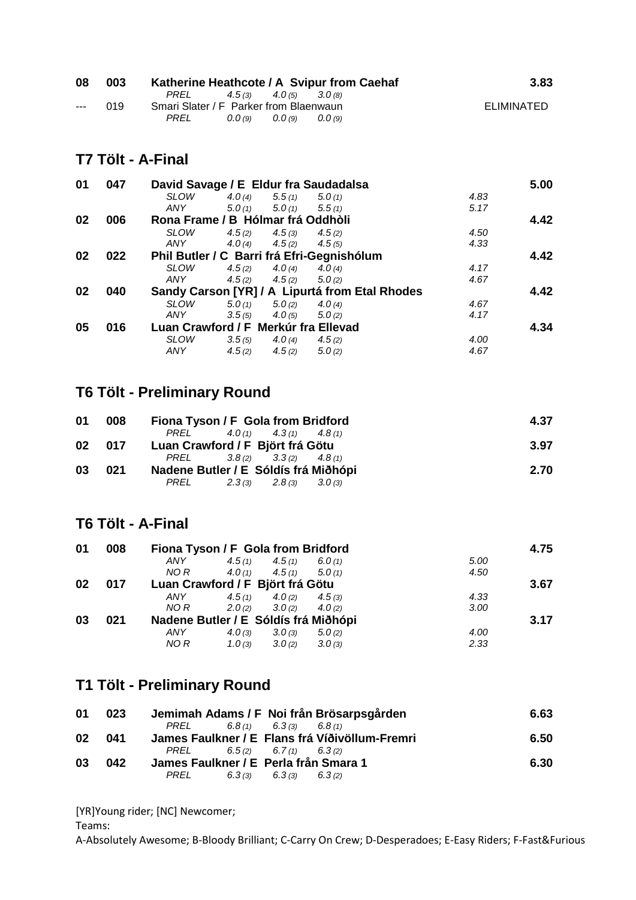| 08                   | 003 |                                        |                   | Katherine Heathcote / A Svipur from Caehaf | 3.83       |
|----------------------|-----|----------------------------------------|-------------------|--------------------------------------------|------------|
|                      |     | PREL $4.5(3)$ $4.0(5)$ $3.0(8)$        |                   |                                            |            |
| $\sim$ $\sim$ $\sim$ | 019 | Smari Slater / F Parker from Blaenwaun |                   |                                            | ELIMINATED |
|                      |     | PREL                                   | $0.0(9)$ $0.0(9)$ | (0.0(9))                                   |            |

#### **T7 Tölt - A-Final**

| 01 | 047 | David Savage / E Eldur fra Saudadalsa |                   |                            |                                                |      | 5.00 |
|----|-----|---------------------------------------|-------------------|----------------------------|------------------------------------------------|------|------|
|    |     | <b>SLOW</b>                           | 4.0 $(4)$         | 5.5(1)                     | 5.0(1)                                         | 4.83 |      |
|    |     | ANY                                   | $5.0(1)$ $5.0(1)$ |                            | 5.5(1)                                         | 5.17 |      |
| 02 | 006 | Rona Frame / B Hólmar frá Oddhòli     |                   |                            |                                                |      | 4.42 |
|    |     | <b>SLOW</b>                           |                   | $4.5(2)$ $4.5(3)$          | 4.5(2)                                         | 4.50 |      |
|    |     | ANY                                   |                   | $4.0(4)$ $4.5(2)$ $4.5(5)$ |                                                | 4.33 |      |
| 02 | 022 |                                       |                   |                            | Phil Butler / C Barri frá Efri-Gegnishólum     |      | 4.42 |
|    |     | <b>SLOW</b>                           | 4.5(2)            | 4.0(4)                     | 4.0(4)                                         | 4.17 |      |
|    |     | ANY                                   |                   | $4.5(2)$ $4.5(2)$ $5.0(2)$ |                                                | 4.67 |      |
| 02 | 040 |                                       |                   |                            | Sandy Carson [YR] / A Lipurtá from Etal Rhodes |      | 4.42 |
|    |     | <b>SLOW</b>                           |                   | $5.0(1)$ $5.0(2)$ $4.0(4)$ |                                                | 4.67 |      |
|    |     | ANY                                   |                   | $3.5(5)$ $4.0(5)$          | 5.0(2)                                         | 4.17 |      |
| 05 | 016 | Luan Crawford / F Merkúr fra Ellevad  |                   |                            |                                                |      | 4.34 |
|    |     | <b>SLOW</b>                           |                   | $3.5(5)$ $4.0(4)$          | 4.5(2)                                         | 4.00 |      |
|    |     | <b>ANY</b>                            | 4.5(2)            | 4.5(2)                     | 5.0(2)                                         | 4.67 |      |

#### **T6 Tölt - Preliminary Round**

| 008 | Fiona Tyson / F Gola from Bridford   | 4.37 |
|-----|--------------------------------------|------|
|     | PREL $4.0(1)$ $4.3(1)$ $4.8(1)$      |      |
| 017 | Luan Crawford / F Björt frá Götu     | 3.97 |
|     | PREL $3.8(2)$ $3.3(2)$ $4.8(1)$      |      |
| 021 | Nadene Butler / E Sóldís frá Miðhópi | 2.70 |
|     | $PREL$ 2.3(3) 2.8(3)<br>3.0(3)       |      |
|     |                                      |      |

#### **T6 Tölt - A-Final**

| 008 |      |        |        |                                                             |                                                                                                                                                                                      | 4.75 |
|-----|------|--------|--------|-------------------------------------------------------------|--------------------------------------------------------------------------------------------------------------------------------------------------------------------------------------|------|
|     | ANY  |        |        |                                                             | 5.00                                                                                                                                                                                 |      |
|     |      |        |        |                                                             | 4.50                                                                                                                                                                                 |      |
| 017 |      |        |        |                                                             |                                                                                                                                                                                      | 3.67 |
|     | ANY  |        |        |                                                             | 4.33                                                                                                                                                                                 |      |
|     | NO R |        |        |                                                             | 3.00                                                                                                                                                                                 |      |
| 021 |      |        |        |                                                             |                                                                                                                                                                                      | 3.17 |
|     | ANY  | 4.0(3) | 3.0(3) | 5.0(2)                                                      | 4.00                                                                                                                                                                                 |      |
|     | NO R | 1.0(3) | 3.0(2) |                                                             | 2.33                                                                                                                                                                                 |      |
|     |      |        | NO R   | $4.5(1)$ $4.5(1)$<br>$4.0(1)$ $4.5(1)$<br>$2.0(2)$ $3.0(2)$ | Fiona Tyson / F Gola from Bridford<br>6.0(1)<br>5.0(1)<br>Luan Crawford / F Björt frá Götu<br>$4.5(1)$ $4.0(2)$ $4.5(3)$<br>4.0(2)<br>Nadene Butler / E Sóldís frá Miðhópi<br>3.0(3) |      |

#### **T1 Tölt - Preliminary Round**

| 01 | 023 |                                       |                                 | Jemimah Adams / F Noi från Brösarpsgården      | 6.63 |
|----|-----|---------------------------------------|---------------------------------|------------------------------------------------|------|
|    |     | PREL                                  | $6.8(1)$ $6.3(3)$ $6.8(1)$      |                                                |      |
| 02 | 041 |                                       |                                 | James Faulkner / E Flans frá Víðivöllum-Fremri | 6.50 |
|    |     |                                       | PREL $6.5(2)$ $6.7(1)$ $6.3(2)$ |                                                |      |
| 03 | 042 | James Faulkner / E Perla från Smara 1 |                                 |                                                | 6.30 |
|    |     | PREL                                  | $6.3(3)$ $6.3(3)$ $6.3(2)$      |                                                |      |

[YR]Young rider; [NC] Newcomer;

Teams: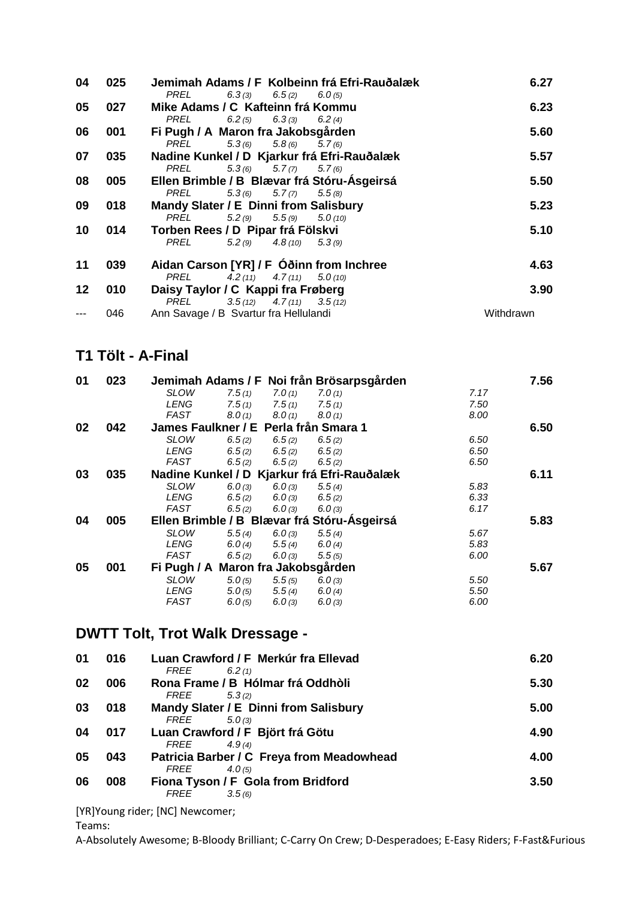| 04 | 025 | Jemimah Adams / F Kolbeinn frá Efri-Rauðalæk                                                         | 6.27      |
|----|-----|------------------------------------------------------------------------------------------------------|-----------|
| 05 | 027 | 6.3(3) 6.5(2) 6.0(5)<br>PREL<br>Mike Adams / C Kafteinn frá Kommu<br>PREL<br>6.2 (5) 6.3 (3) 6.2 (4) | 6.23      |
| 06 | 001 | Fi Pugh / A Maron fra Jakobsgården                                                                   | 5.60      |
|    |     | PREL<br>$5.3(6)$ $5.8(6)$ $5.7(6)$                                                                   |           |
| 07 | 035 | Nadine Kunkel / D Kjarkur frá Efri-Rauðalæk                                                          | 5.57      |
|    |     | $5.3(6)$ $5.7(7)$<br>PREL<br>5.7(6)                                                                  |           |
| 08 | 005 | Ellen Brimble / B Blævar frá Stóru-Ásgeirsá                                                          | 5.50      |
|    |     | $5.3(6)$ $5.7(7)$<br>PREL<br>5.5(8)                                                                  |           |
| 09 | 018 | Mandy Slater / E Dinni from Salisbury                                                                | 5.23      |
|    |     | $5.2(9)$ $5.5(9)$<br>5.0(10)<br>PREL                                                                 |           |
| 10 | 014 | Torben Rees / D Pipar frá Fölskvi                                                                    | 5.10      |
|    |     | $5.2(9)$ $4.8(10)$ $5.3(9)$<br>PREL                                                                  |           |
| 11 | 039 | Aidan Carson [YR] / F Óðinn from Inchree                                                             | 4.63      |
|    |     | PREL<br>4.2 (11) $4.7(11)$ $5.0(10)$                                                                 |           |
| 12 | 010 | Daisy Taylor / C Kappi fra Frøberg                                                                   | 3.90      |
|    |     | $3.5(12)$ $4.7(11)$ $3.5(12)$<br>PREL                                                                |           |
|    | 046 | Ann Savage / B Svartur fra Hellulandi                                                                | Withdrawn |

### **T1 Tölt - A-Final**

| 01 | 023 |                                       |        |        | Jemimah Adams / F Noi från Brösarpsgården   |      | 7.56 |
|----|-----|---------------------------------------|--------|--------|---------------------------------------------|------|------|
|    |     | <b>SLOW</b>                           | 7.5(1) | 7.0(1) | 7.0(1)                                      | 7.17 |      |
|    |     | LENG                                  | 7.5(1) | 7.5(1) | 7.5(1)                                      | 7.50 |      |
|    |     | FAST                                  | 8.0(1) | 8.0(1) | 8.0(1)                                      | 8.00 |      |
| 02 | 042 | James Faulkner / E Perla från Smara 1 |        |        |                                             |      | 6.50 |
|    |     | <b>SLOW</b>                           | 6.5(2) | 6.5(2) | 6.5(2)                                      | 6.50 |      |
|    |     | LENG                                  | 6.5(2) | 6.5(2) | 6.5(2)                                      | 6.50 |      |
|    |     | FAST                                  | 6.5(2) | 6.5(2) | 6.5(2)                                      | 6.50 |      |
| 03 | 035 |                                       |        |        | Nadine Kunkel / D Kjarkur frá Efri-Rauðalæk |      | 6.11 |
|    |     | <b>SLOW</b>                           | 6.0(3) | 6.0(3) | 5.5(4)                                      | 5.83 |      |
|    |     | LENG                                  | 6.5(2) | 6.0(3) | 6.5(2)                                      | 6.33 |      |
|    |     | FAST                                  | 6.5(2) | 6.0(3) | 6.0(3)                                      | 6.17 |      |
| 04 | 005 |                                       |        |        | Ellen Brimble / B Blævar frá Stóru-Ásgeirsá |      | 5.83 |
|    |     | <b>SLOW</b>                           | 5.5(4) | 6.0(3) | 5.5(4)                                      | 5.67 |      |
|    |     | LENG                                  | 6.0(4) | 5.5(4) | 6.0(4)                                      | 5.83 |      |
|    |     | FAST                                  | 6.5(2) | 6.0(3) | 5.5(5)                                      | 6.00 |      |
| 05 | 001 | Fi Pugh / A Maron fra Jakobsgården    |        |        |                                             |      | 5.67 |
|    |     | <b>SLOW</b>                           | 5.0(5) | 5.5(5) | 6.0(3)                                      | 5.50 |      |
|    |     | LENG                                  | 5.0(5) | 5.5(4) | 6.0(4)                                      | 5.50 |      |
|    |     | FAST                                  | 6.0(5) | 6.0(3) | 6.0(3)                                      | 6.00 |      |

## **DWTT Tolt, Trot Walk Dressage -**

| 01 | 016 | Luan Crawford / F Merkúr fra Ellevad<br><i>FREE</i><br>6.2(1)                        | 6.20 |
|----|-----|--------------------------------------------------------------------------------------|------|
| 02 | 006 | Rona Frame / B Hólmar frá Oddhòli<br><i>FREE</i>                                     | 5.30 |
| 03 | 018 | 5.3(2)<br>Mandy Slater / E Dinni from Salisbury                                      | 5.00 |
| 04 | 017 | FREE<br>5.0(3)<br>Luan Crawford / F Björt frá Götu                                   | 4.90 |
| 05 | 043 | FREE<br>4.9(4)<br>Patricia Barber / C Freya from Meadowhead                          | 4.00 |
| 06 | 008 | <i>FREE</i><br>4.0(5)<br>Fiona Tyson / F Gola from Bridford<br><i>FREE</i><br>3.5(6) | 3.50 |
|    |     |                                                                                      |      |

[YR]Young rider; [NC] Newcomer;

Teams: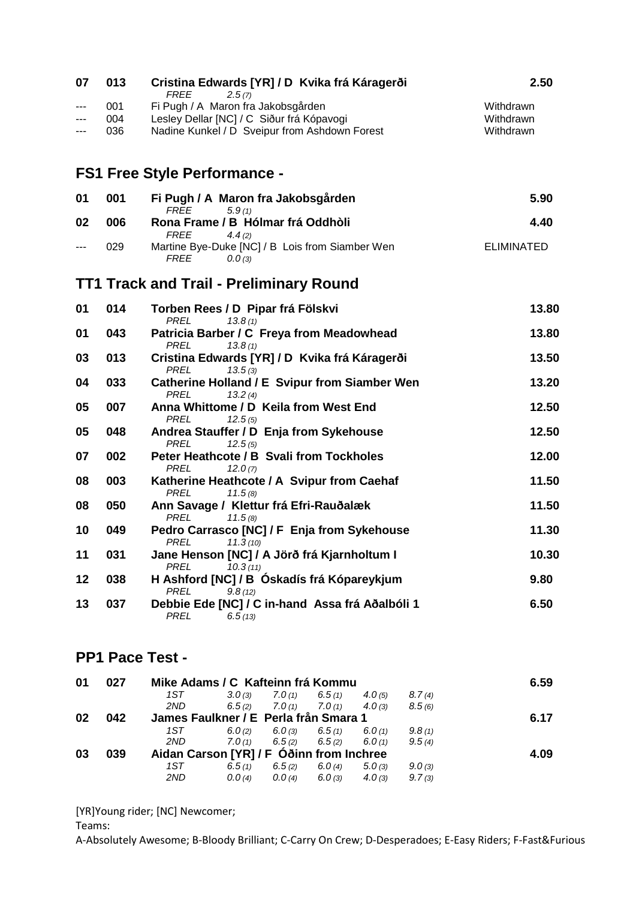| 07           | 013               | Cristina Edwards [YR] / D Kvika frá Káragerði                                                                                                             | 2.50                                |
|--------------|-------------------|-----------------------------------------------------------------------------------------------------------------------------------------------------------|-------------------------------------|
| $---$<br>--- | 001<br>004<br>036 | <b>FREE</b><br>2.5(7)<br>Fi Pugh / A Maron fra Jakobsgården<br>Lesley Dellar [NC] / C Siður frá Kópavogi<br>Nadine Kunkel / D Sveipur from Ashdown Forest | Withdrawn<br>Withdrawn<br>Withdrawn |
|              |                   | <b>FS1 Free Style Performance -</b>                                                                                                                       |                                     |
| 01           | 001               | Fi Pugh / A Maron fra Jakobsgården                                                                                                                        | 5.90                                |
| 02           | 006               | <b>FREE</b><br>5.9(1)<br>Rona Frame / B Hólmar frá Oddhòli                                                                                                | 4.40                                |
| $---$        | 029               | <b>FREE</b><br>4.4(2)<br>Martine Bye-Duke [NC] / B Lois from Siamber Wen<br><b>FREE</b><br>0.0(3)                                                         | <b>ELIMINATED</b>                   |
|              |                   | <b>TT1 Track and Trail - Preliminary Round</b>                                                                                                            |                                     |
| 01           | 014               | Torben Rees / D Pipar frá Fölskvi<br><b>PREL</b><br>13.8(1)                                                                                               | 13.80                               |
| 01           | 043               | Patricia Barber / C Freya from Meadowhead<br><b>PREL</b><br>13.8(1)                                                                                       | 13.80                               |
| 03           | 013               | Cristina Edwards [YR] / D Kvika frá Káragerði                                                                                                             | 13.50                               |
| 04           | 033               | <b>PREL</b><br>13.5(3)<br><b>Catherine Holland / E Svipur from Siamber Wen</b>                                                                            | 13.20                               |
| 05           | 007               | <b>PREL</b><br>13.2(4)<br>Anna Whittome / D Keila from West End                                                                                           | 12.50                               |
| 05           | 048               | <b>PREL</b><br>12.5(5)<br>Andrea Stauffer / D Enja from Sykehouse                                                                                         | 12.50                               |
| 07           | 002               | <b>PREL</b><br>12.5(5)<br>Peter Heathcote / B Svali from Tockholes                                                                                        | 12.00                               |
| 08           | 003               | <b>PREL</b><br>12.0(7)<br>Katherine Heathcote / A Svipur from Caehaf                                                                                      | 11.50                               |
| 08           | 050               | <b>PREL</b><br>11.5(8)<br>Ann Savage / Klettur frá Efri-Rauðalæk                                                                                          | 11.50                               |
| 10           | 049               | <b>PREL</b><br>11.5(8)<br>Pedro Carrasco [NC] / F Enja from Sykehouse                                                                                     | 11.30                               |
| 11           | 031               | PREL<br>11.3(10)<br>Jane Henson [NC] / A Jörð frá Kjarnholtum I                                                                                           | 10.30                               |
| 12           | 038               | <b>PREL</b><br>10.3(11)<br>H Ashford [NC] / B Óskadís frá Kópareykjum                                                                                     | 9.80                                |
| 13           | 037               | <b>PREL</b><br>9.8(12)<br>Debbie Ede [NC] / C in-hand Assa frá Aðalbóli 1<br><b>PREL</b><br>6.5(13)                                                       | 6.50                                |
|              |                   | <b>PP1 Pace Test -</b>                                                                                                                                    |                                     |
| 01           | 027               | Mike Adams / C Kafteinn frá Kommu                                                                                                                         | 6.59                                |

| 01 | 027 | Mike Adams / C Kafteinn frá Kommu        |        |            |                   |            |        | 6.59 |
|----|-----|------------------------------------------|--------|------------|-------------------|------------|--------|------|
|    |     | 1ST                                      | 3.0(3) | 7.0(1)     | 6.5(1)            | 4.0(5)     | 8.7(4) |      |
|    |     | 2ND                                      | 6.5(2) | 7.0(1)     | 7.0(1)            | 4.0(3)     | 8.5(6) |      |
| 02 | 042 | James Faulkner / E Perla från Smara 1    |        |            |                   |            |        | 6.17 |
|    |     | 1ST.                                     | 6.0(2) | $6.0\,(3)$ | 6.5(1)            | 6.0(1)     | 9.8(1) |      |
|    |     | 2ND                                      | 7.0(1) |            | $6.5(2)$ $6.5(2)$ | 6.0(1)     | 9.5(4) |      |
| 03 | 039 | Aidan Carson [YR] / F Oðinn from Inchree |        |            |                   |            |        | 4.09 |
|    |     | 1ST                                      | 6.5(1) | 6.5(2)     | 6.0(4)            | 5.0(3)     | 9.0(3) |      |
|    |     | 2ND                                      | 0.0(4) | 0.0(4)     | 6.0(3)            | $4.0\,(3)$ | 9.7(3) |      |
|    |     |                                          |        |            |                   |            |        |      |

[YR]Young rider; [NC] Newcomer;

Teams: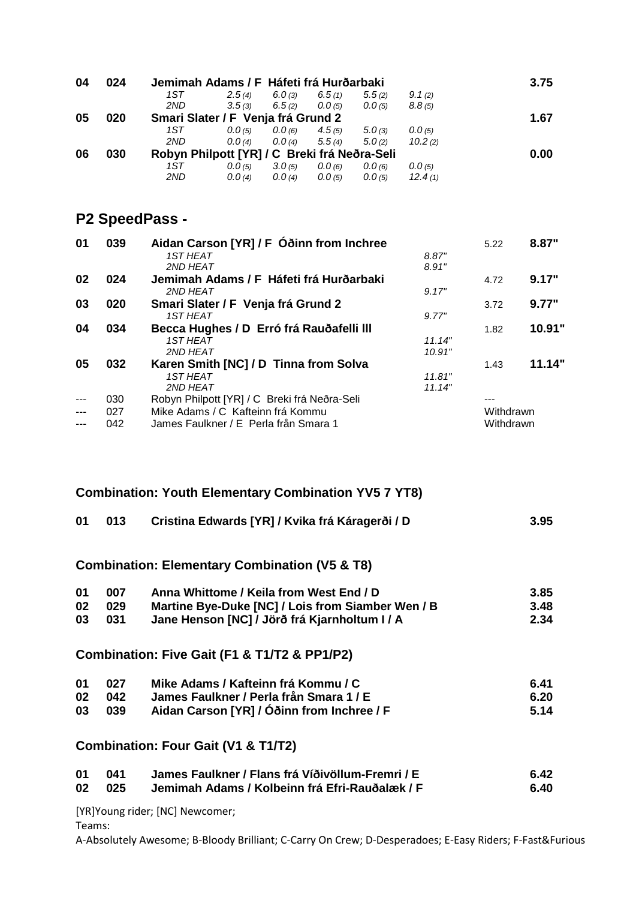| 04 | 024 | Jemimah Adams / F Háfeti frá Hurðarbaki      |        |        |        |        |         | 3.75 |
|----|-----|----------------------------------------------|--------|--------|--------|--------|---------|------|
|    |     | 1ST                                          | 2.5(4) | 6.0(3) | 6.5(1) | 5.5(2) | 9.1(2)  |      |
|    |     | 2ND                                          | 3.5(3) | 6.5(2) | 0.0(5) | 0.0(5) | 8.8(5)  |      |
| 05 | 020 | Smari Slater / F Venja frá Grund 2           |        |        |        |        |         | 1.67 |
|    |     | 1ST                                          | 0.0(5) | 0.0(6) | 4.5(5) | 5.0(3) | 0.0(5)  |      |
|    |     | 2ND                                          | 0.0(4) | 0.0(4) | 5.5(4) | 5.0(2) | 10.2(2) |      |
| 06 | 030 | Robyn Philpott [YR] / C Breki frá Neðra-Seli |        |        |        |        |         | 0.00 |
|    |     | 1ST                                          | 0.0(5) | 3.0(5) | 0.0(6) | 0.0(6) | 0.0(5)  |      |
|    |     | 2ND                                          | 0.0(4) | 0.0(4) | 0.0(5) | 0.0(5) | 12.4(1) |      |

### **P2 SpeedPass -**

| 01    | 039 | Aidan Carson [YR] / F Óðinn from Inchree     |        | 5.22      | 8.87"  |
|-------|-----|----------------------------------------------|--------|-----------|--------|
|       |     | <b>1ST HEAT</b>                              | 8.87"  |           |        |
|       |     | 2ND HEAT                                     | 8.91"  |           |        |
| 02    | 024 | Jemimah Adams / F Háfeti frá Hurðarbaki      |        | 4.72      | 9.17"  |
|       |     | 2ND HEAT                                     | 9.17"  |           |        |
| 03    | 020 | Smari Slater / F Venja frá Grund 2           |        | 3.72      | 9.77"  |
|       |     | <b>1ST HEAT</b>                              | 9.77"  |           |        |
| 04    | 034 | Becca Hughes / D Erró frá Rauðafelli III     |        | 1.82      | 10.91" |
|       |     | <b>1ST HEAT</b>                              | 11.14" |           |        |
|       |     | 2ND HEAT                                     | 10.91" |           |        |
| 05    | 032 | Karen Smith [NC] / D Tinna from Solva        |        | 1.43      | 11.14" |
|       |     | <b>1ST HEAT</b>                              | 11.81" |           |        |
|       |     | 2ND HEAT                                     | 11.14" |           |        |
| $---$ | 030 | Robyn Philpott [YR] / C Breki frá Neðra-Seli |        |           |        |
| $---$ | 027 | Mike Adams / C Kafteinn frá Kommu            |        | Withdrawn |        |
|       | 042 | James Faulkner / E Perla från Smara 1        |        | Withdrawn |        |

|    |     | <b>Combination: Youth Elementary Combination YV5 7 YT8)</b> |      |
|----|-----|-------------------------------------------------------------|------|
| 01 | 013 | Cristina Edwards [YR] / Kvika frá Káragerði / D             | 3.95 |
|    |     | <b>Combination: Elementary Combination (V5 &amp; T8)</b>    |      |
| 01 | 007 | Anna Whittome / Keila from West End / D                     | 3.85 |
| 02 | 029 | Martine Bye-Duke [NC] / Lois from Siamber Wen / B           | 3.48 |
| 03 | 031 | Jane Henson [NC] / Jörð frá Kjarnholtum I / A               | 2.34 |
|    |     | Combination: Five Gait (F1 & T1/T2 & PP1/P2)                |      |
| 01 | 027 | Mike Adams / Kafteinn frá Kommu / C                         | 6.41 |
| 02 | 042 | James Faulkner / Perla från Smara 1 / E                     | 6.20 |
| 03 | 039 | Aidan Carson [YR] / Óðinn from Inchree / F                  | 5.14 |
|    |     | Combination: Four Gait (V1 & T1/T2)                         |      |
| 01 | 041 | James Faulkner / Flans frá Víðivöllum-Fremri / E            | 6.42 |
| 02 | 025 | Jemimah Adams / Kolbeinn frá Efri-Rauðalæk / F              | 6.40 |

[YR]Young rider; [NC] Newcomer;

Teams: